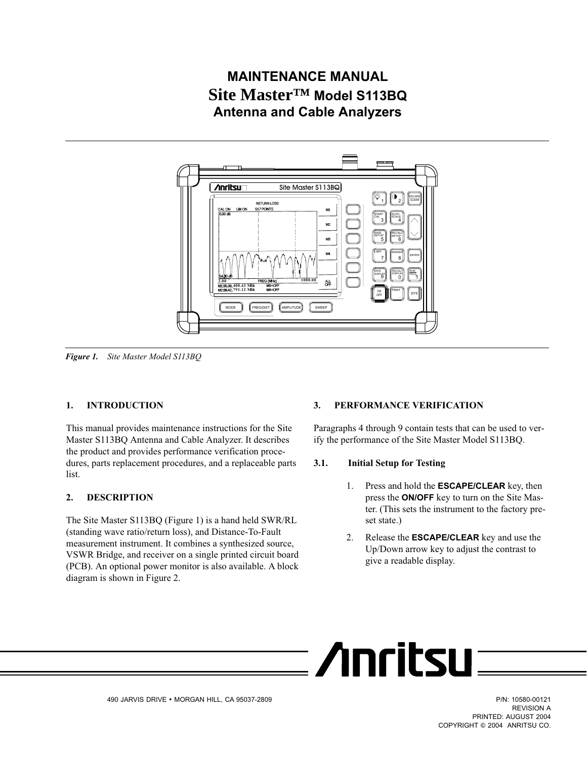# <span id="page-0-0"></span>**MAINTENANCE MANUAL Site Master™ Model S113BQ Antenna and Cable Analyzers**



*Figure 1. Site Master Model S113BQ*

# **1. INTRODUCTION**

This manual provides maintenance instructions for the Site Master S113BQ Antenna and Cable Analyzer. It describes the product and provides performance verification procedures, parts replacement procedures, and a replaceable parts list.

# **2. DESCRIPTION**

The Site Master S113BQ (Figure [1\)](#page-0-0) is a hand held SWR/RL (standing wave ratio/return loss), and Distance-To-Fault measurement instrument. It combines a synthesized source, VSWR Bridge, and receiver on a single printed circuit board (PCB). An optional power monitor is also available. A block diagram is shown in Figure [2.](#page-1-0)

### **3. PERFORMANCE VERIFICATION**

: /Inritsu

Paragraphs 4 through 9 contain tests that can be used to verify the performance of the Site Master Model S113BQ.

### **3.1. Initial Setup for Testing**

- 1. Press and hold the **ESCAPE/CLEAR** key, then press the **ON/OFF** key to turn on the Site Master. (This sets the instrument to the factory preset state.)
- 2. Release the **ESCAPE/CLEAR** key and use the Up/Down arrow key to adjust the contrast to give a readable display.

REVISION A PRINTED: AUGUST 2004 COPYRIGHT © 2004 ANRITSU CO.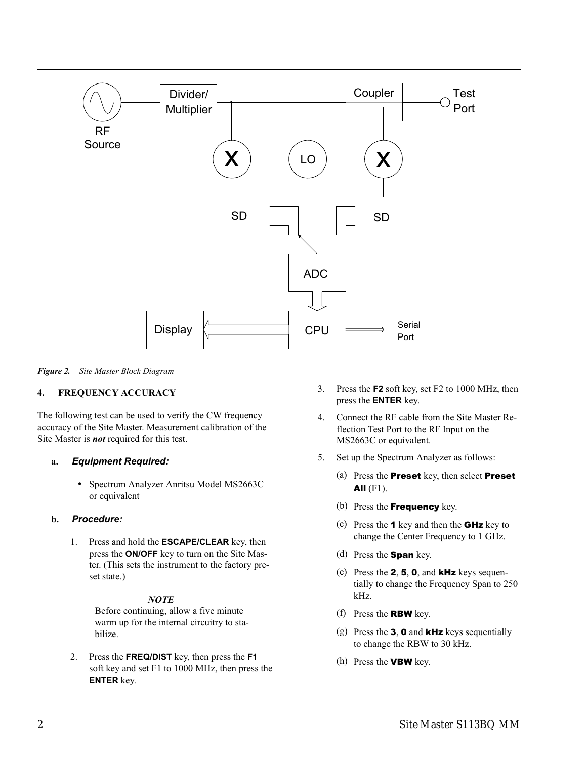<span id="page-1-0"></span>

*Figure 2. Site Master Block Diagram*

# **4. FREQUENCY ACCURACY**

The following test can be used to verify the CW frequency accuracy of the Site Master. Measurement calibration of the Site Master is *not* required for this test.

# **a.** *Equipment Required:*

 Spectrum Analyzer Anritsu Model MS2663C or equivalent

# **b.** *Procedure:*

1. Press and hold the **ESCAPE/CLEAR** key, then press the **ON/OFF** key to turn on the Site Master. (This sets the instrument to the factory preset state.)

# *NOTE*

Before continuing, allow a five minute warm up for the internal circuitry to stabilize.

2. Press the **FREQ/DIST** key, then press the **F1** soft key and set F1 to 1000 MHz, then press the **ENTER** key.

- 3. Press the **F2** soft key, set F2 to 1000 MHz, then press the **ENTER** key.
- 4. Connect the RF cable from the Site Master Reflection Test Port to the RF Input on the MS2663C or equivalent.
- 5. Set up the Spectrum Analyzer as follows:
	- (a) Press the Preset key, then select Preset All  $(F1)$ .
	- (b) Press the **Frequency** key.
	- (c) Press the **1** key and then the **GHz** key to change the Center Frequency to 1 GHz.
	- (d) Press the **Span** key.
	- (e) Press the  $2, 5, 0$ , and **kHz** keys sequentially to change the Frequency Span to 250 kHz.
	- (f) Press the RBW key.
	- (g) Press the  $3$ ,  $0$  and kHz keys sequentially to change the RBW to 30 kHz.
	- (h) Press the VBW key.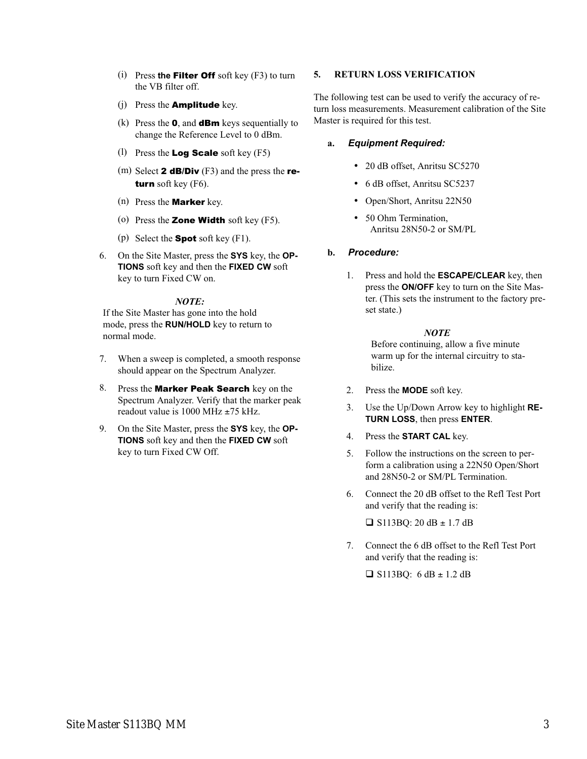- (i) Press **the** Filter Off soft key (F3) to turn the VB filter off.
- (j) Press the Amplitude key.
- (k) Press the  $\mathbf{0}$ , and **dBm** keys sequentially to change the Reference Level to 0 dBm.
- (l) Press the **Log Scale** soft key  $(F5)$
- (m) Select **2 dB/Div** (F3) and the press the **re**turn soft key (F6).
- (n) Press the Marker key.
- (o) Press the **Zone Width** soft key  $(F5)$ .
- (p) Select the **Spot** soft key  $(F1)$ .
- 6. On the Site Master, press the **SYS** key, the **OP-TIONS** soft key and then the **FIXED CW** soft key to turn Fixed CW on.

### *NOTE:*

If the Site Master has gone into the hold mode, press the **RUN/HOLD** key to return to normal mode.

- 7. When a sweep is completed, a smooth response should appear on the Spectrum Analyzer.
- 8. Press the **Marker Peak Search** key on the Spectrum Analyzer. Verify that the marker peak readout value is 1000 MHz  $\pm$ 75 kHz.
- 9. On the Site Master, press the **SYS** key, the **OP-TIONS** soft key and then the **FIXED CW** soft key to turn Fixed CW Off.

# **5. RETURN LOSS VERIFICATION**

The following test can be used to verify the accuracy of return loss measurements. Measurement calibration of the Site Master is required for this test.

# **a.** *Equipment Required:*

- 20 dB offset, Anritsu SC5270
- 6 dB offset, Anritsu SC5237
- Open/Short, Anritsu 22N50
- 50 Ohm Termination. Anritsu 28N50-2 or SM/PL

# **b.** *Procedure:*

1. Press and hold the **ESCAPE/CLEAR** key, then press the **ON/OFF** key to turn on the Site Master. (This sets the instrument to the factory preset state.)

# *NOTE*

Before continuing, allow a five minute warm up for the internal circuitry to stabilize.

- 2. Press the **MODE** soft key.
- 3. Use the Up/Down Arrow key to highlight **RE-TURN LOSS**, then press **ENTER**.
- 4. Press the **START CAL** key.
- 5. Follow the instructions on the screen to perform a calibration using a 22N50 Open/Short and 28N50-2 or SM/PL Termination.
- 6. Connect the 20 dB offset to the Refl Test Port and verify that the reading is:

 $\Box$  S113BQ: 20 dB  $\pm$  1.7 dB

7. Connect the 6 dB offset to the Refl Test Port and verify that the reading is:

 $\Box$  S113BQ: 6 dB  $\pm$  1.2 dB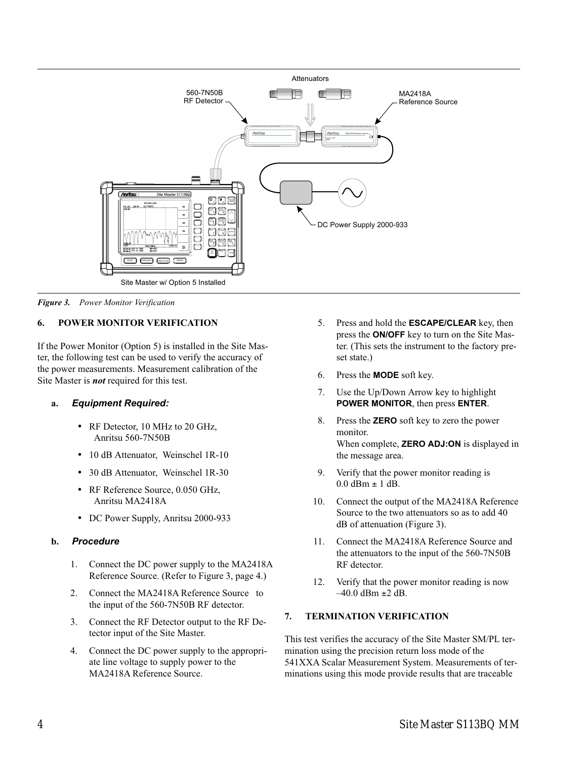<span id="page-3-0"></span>

*Figure 3. Power Monitor Verification*

# **6. POWER MONITOR VERIFICATION**

If the Power Monitor (Option 5) is installed in the Site Master, the following test can be used to verify the accuracy of the power measurements. Measurement calibration of the Site Master is *not* required for this test.

# **a.** *Equipment Required:*

- RF Detector, 10 MHz to 20 GHz, Anritsu 560-7N50B
- 10 dB Attenuator, Weinschel 1R-10
- 30 dB Attenuator, Weinschel 1R-30
- RF Reference Source, 0.050 GHz, Anritsu MA2418A
- DC Power Supply, Anritsu 2000-933

# **b.** *Procedure*

- 1. Connect the DC power supply to the MA2418A Reference Source. (Refer to Figure [3,](#page-3-0) page [4](#page-3-0).)
- 2. Connect the MA2418A Reference Source to the input of the 560-7N50B RF detector.
- 3. Connect the RF Detector output to the RF Detector input of the Site Master.
- 4. Connect the DC power supply to the appropriate line voltage to supply power to the MA2418A Reference Source.
- 5. Press and hold the **ESCAPE/CLEAR** key, then press the **ON/OFF** key to turn on the Site Master. (This sets the instrument to the factory preset state.)
- 6. Press the **MODE** soft key.
- 7. Use the Up/Down Arrow key to highlight **POWER MONITOR**, then press **ENTER**.
- 8. Press the **ZERO** soft key to zero the power monitor. When complete, **ZERO ADJ:ON** is displayed in the message area.
- 9. Verify that the power monitor reading is  $0.0$  dBm  $\pm$  1 dB.
- 10. Connect the output of the MA2418A Reference Source to the two attenuators so as to add 40 dB of attenuation (Figure [3\)](#page-3-0).
- 11. Connect the MA2418A Reference Source and the attenuators to the input of the 560-7N50B RF detector.
- 12. Verify that the power monitor reading is now  $-40.0$  dBm  $\pm 2$  dB.

# **7. TERMINATION VERIFICATION**

This test verifies the accuracy of the Site Master SM/PL termination using the precision return loss mode of the 541XXA Scalar Measurement System. Measurements of terminations using this mode provide results that are traceable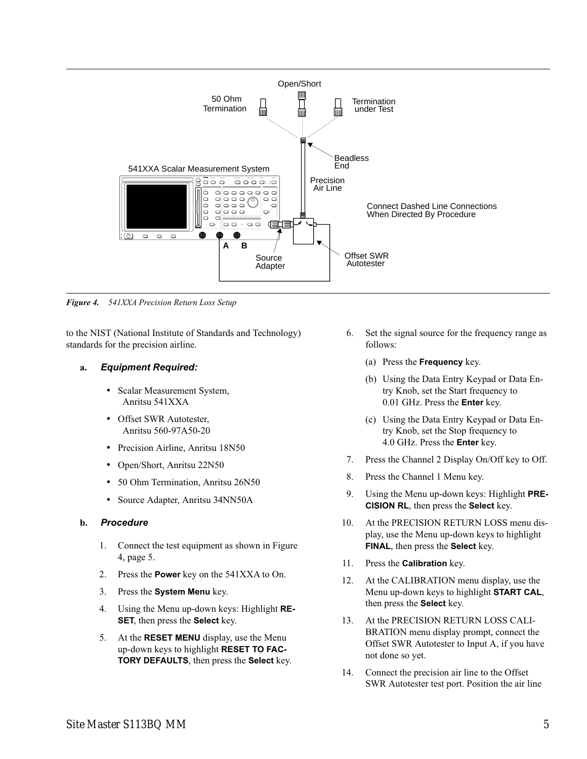<span id="page-4-0"></span>

*Figure 4. 541XXA Precision Return Loss Setup*

to the NIST (National Institute of Standards and Technology) standards for the precision airline.

### **a.** *Equipment Required:*

- Scalar Measurement System, Anritsu 541XXA
- Offset SWR Autotester, Anritsu 560-97A50-20
- Precision Airline, Anritsu 18N50
- Open/Short, Anritsu 22N50
- 50 Ohm Termination, Anritsu 26N50
- Source Adapter, Anritsu 34NN50A

### **b.** *Procedure*

- 1. Connect the test equipment as shown in Figure [4,](#page-4-0) page [5](#page-4-0).
- 2. Press the **Power** key on the 541XXA to On.
- 3. Press the **System Menu** key.
- 4. Using the Menu up-down keys: Highlight **RE-SET**, then press the **Select** key.
- 5. At the **RESET MENU** display, use the Menu up-down keys to highlight **RESET TO FAC-TORY DEFAULTS**, then press the **Select** key.
- 6. Set the signal source for the frequency range as follows:
	- (a) Press the **Frequency** key.
	- (b) Using the Data Entry Keypad or Data Entry Knob, set the Start frequency to 0.01 GHz. Press the **Enter** key.
	- (c) Using the Data Entry Keypad or Data Entry Knob, set the Stop frequency to 4.0 GHz. Press the **Enter** key.
- 7. Press the Channel 2 Display On/Off key to Off.
- 8. Press the Channel 1 Menu key.
- 9. Using the Menu up-down keys: Highlight **PRE-CISION RL**, then press the **Select** key.
- 10. At the PRECISION RETURN LOSS menu display, use the Menu up-down keys to highlight **FINAL**, then press the **Select** key.
- 11. Press the **Calibration** key.
- 12. At the CALIBRATION menu display, use the Menu up-down keys to highlight **START CAL**, then press the **Select** key.
- 13. At the PRECISION RETURN LOSS CALI-BRATION menu display prompt, connect the Offset SWR Autotester to Input A, if you have not done so yet.
- 14. Connect the precision air line to the Offset SWR Autotester test port. Position the air line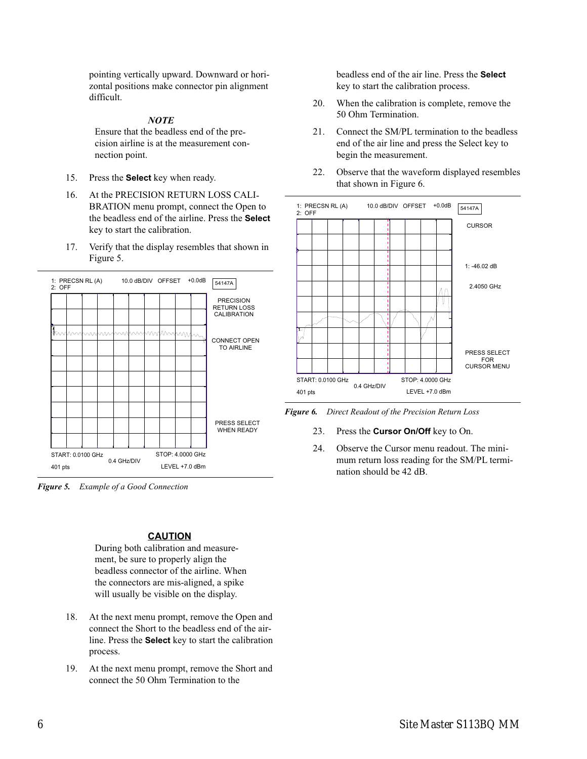<span id="page-5-0"></span>pointing vertically upward. Downward or horizontal positions make connector pin alignment difficult.

### *NOTE*

Ensure that the beadless end of the precision airline is at the measurement connection point.

- 15. Press the **Select** key when ready.
- 16. At the PRECISION RETURN LOSS CALI-BRATION menu prompt, connect the Open to the beadless end of the airline. Press the **Select** key to start the calibration.
- 17. Verify that the display resembles that shown in Figure [5.](#page-5-0)



*Figure 5. Example of a Good Connection*

# **CAUTION**

During both calibration and measurement, be sure to properly align the beadless connector of the airline. When the connectors are mis-aligned, a spike will usually be visible on the display.

- 18. At the next menu prompt, remove the Open and connect the Short to the beadless end of the airline. Press the **Select** key to start the calibration process.
- 19. At the next menu prompt, remove the Short and connect the 50 Ohm Termination to the

beadless end of the air line. Press the **Select** key to start the calibration process.

- 20. When the calibration is complete, remove the 50 Ohm Termination.
- 21. Connect the SM/PL termination to the beadless end of the air line and press the Select key to begin the measurement.
- 22. Observe that the waveform displayed resembles that shown in Figure [6](#page-5-0).





- 23. Press the **Cursor On/Off** key to On.
- 24. Observe the Cursor menu readout. The minimum return loss reading for the SM/PL termination should be 42 dB.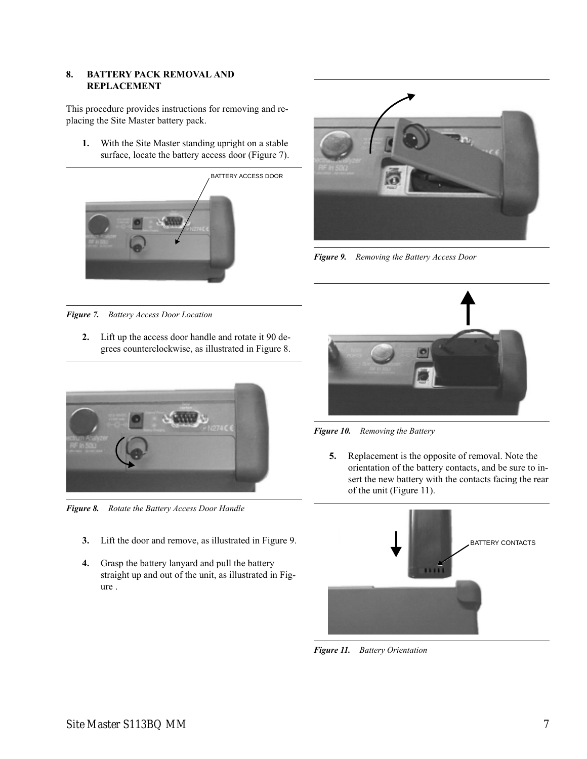# <span id="page-6-0"></span>**8. BATTERY PACK REMOVAL AND REPLACEMENT**

This procedure provides instructions for removing and replacing the Site Master battery pack.

**1.** With the Site Master standing upright on a stable surface, locate the battery access door (Figure [7](#page-6-0)).





*Figure 9. Removing the Battery Access Door*

*Figure 7. Battery Access Door Location*

**2.** Lift up the access door handle and rotate it 90 degrees counterclockwise, as illustrated in Figure [8.](#page-6-0)



*Figure 8. Rotate the Battery Access Door Handle*

- **3.** Lift the door and remove, as illustrated in Figure 9.
- **4.** Grasp the battery lanyard and pull the battery straight up and out of the unit, as illustrated in Figure .



*Figure 10. Removing the Battery*

**5.** Replacement is the opposite of removal. Note the orientation of the battery contacts, and be sure to insert the new battery with the contacts facing the rear of the unit (Figure 11).



*Figure 11. Battery Orientation*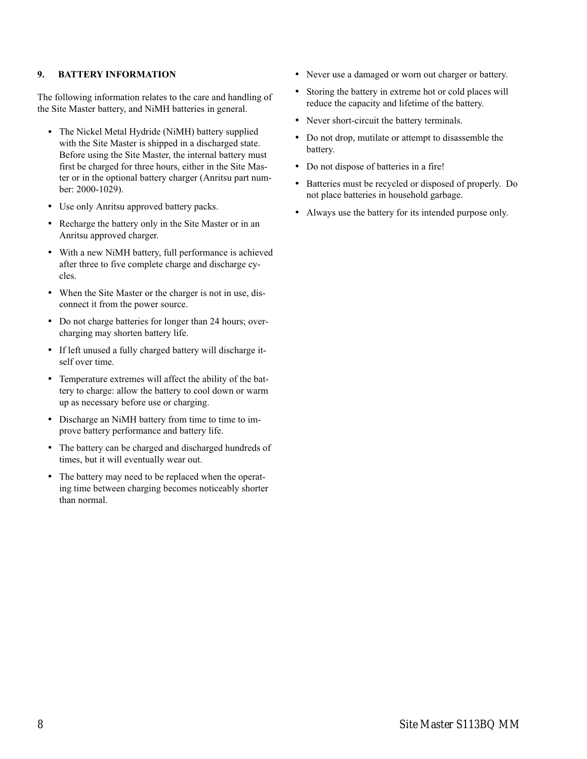# **9. BATTERY INFORMATION**

The following information relates to the care and handling of the Site Master battery, and NiMH batteries in general.

- The Nickel Metal Hydride (NiMH) battery supplied with the Site Master is shipped in a discharged state. Before using the Site Master, the internal battery must first be charged for three hours, either in the Site Master or in the optional battery charger (Anritsu part number: 2000-1029).
- Use only Anritsu approved battery packs.
- Recharge the battery only in the Site Master or in an Anritsu approved charger.
- With a new NiMH battery, full performance is achieved after three to five complete charge and discharge cycles.
- When the Site Master or the charger is not in use, disconnect it from the power source.
- Do not charge batteries for longer than 24 hours; overcharging may shorten battery life.
- If left unused a fully charged battery will discharge itself over time.
- Temperature extremes will affect the ability of the battery to charge: allow the battery to cool down or warm up as necessary before use or charging.
- Discharge an NiMH battery from time to time to improve battery performance and battery life.
- The battery can be charged and discharged hundreds of times, but it will eventually wear out.
- The battery may need to be replaced when the operating time between charging becomes noticeably shorter than normal.
- Never use a damaged or worn out charger or battery.
- Storing the battery in extreme hot or cold places will reduce the capacity and lifetime of the battery.
- Never short-circuit the battery terminals.
- Do not drop, mutilate or attempt to disassemble the battery.
- Do not dispose of batteries in a fire!
- Batteries must be recycled or disposed of properly. Do not place batteries in household garbage.
- Always use the battery for its intended purpose only.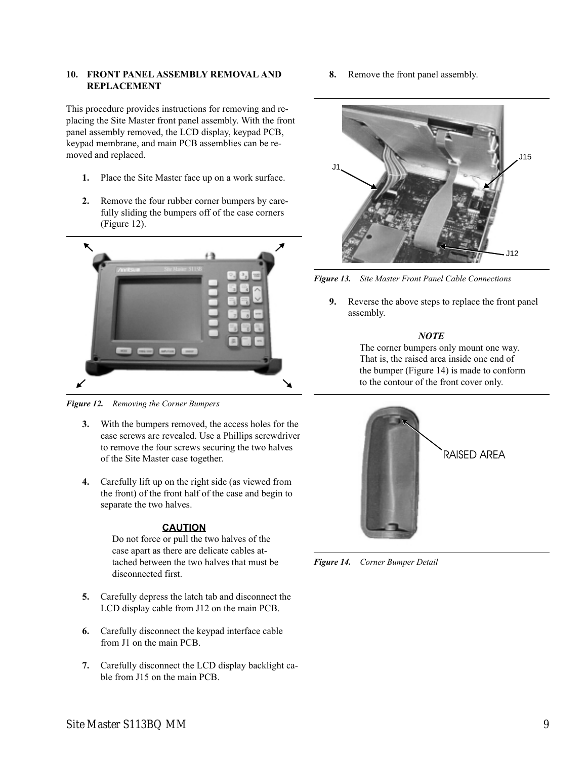# <span id="page-8-0"></span>**10. FRONT PANEL ASSEMBLY REMOVAL AND REPLACEMENT**

This procedure provides instructions for removing and replacing the Site Master front panel assembly. With the front panel assembly removed, the LCD display, keypad PCB, keypad membrane, and main PCB assemblies can be removed and replaced.

- **1.** Place the Site Master face up on a work surface.
- **2.** Remove the four rubber corner bumpers by carefully sliding the bumpers off of the case corners (Figure 12).



*Figure 12. Removing the Corner Bumpers*

- **3.** With the bumpers removed, the access holes for the case screws are revealed. Use a Phillips screwdriver to remove the four screws securing the two halves of the Site Master case together.
- **4.** Carefully lift up on the right side (as viewed from the front) of the front half of the case and begin to separate the two halves.

# **CAUTION**

Do not force or pull the two halves of the case apart as there are delicate cables attached between the two halves that must be disconnected first.

- **5.** Carefully depress the latch tab and disconnect the LCD display cable from J12 on the main PCB.
- **6.** Carefully disconnect the keypad interface cable from J1 on the main PCB.
- **7.** Carefully disconnect the LCD display backlight cable from J15 on the main PCB.

**8.** Remove the front panel assembly.



*Figure 13. Site Master Front Panel Cable Connections*

**9.** Reverse the above steps to replace the front panel assembly.

### *NOTE*

The corner bumpers only mount one way. That is, the raised area inside one end of the bumper (Figure 14) is made to conform to the contour of the front cover only.



*Figure 14. Corner Bumper Detail*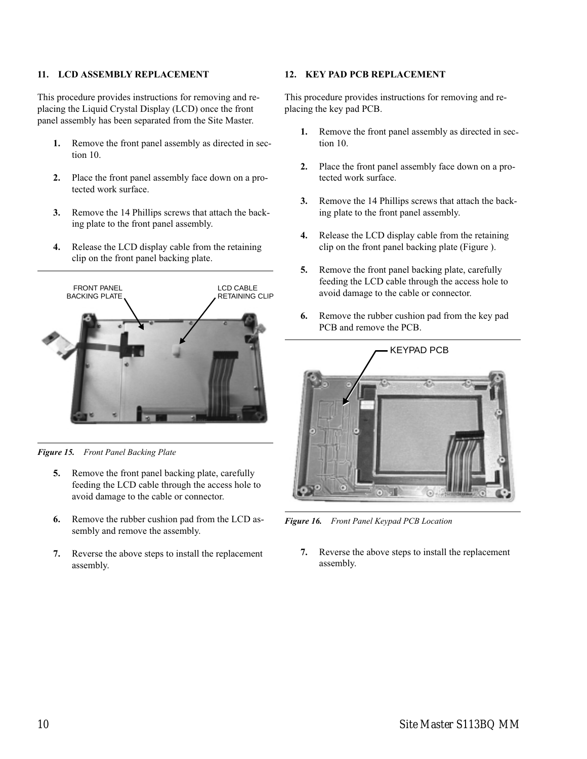# <span id="page-9-0"></span>**11. LCD ASSEMBLY REPLACEMENT**

This procedure provides instructions for removing and replacing the Liquid Crystal Display (LCD) once the front panel assembly has been separated from the Site Master.

- **1.** Remove the front panel assembly as directed in section [10.](#page-8-0)
- **2.** Place the front panel assembly face down on a protected work surface.
- **3.** Remove the 14 Phillips screws that attach the backing plate to the front panel assembly.
- **4.** Release the LCD display cable from the retaining clip on the front panel backing plate.



*Figure 15. Front Panel Backing Plate*

- **5.** Remove the front panel backing plate, carefully feeding the LCD cable through the access hole to avoid damage to the cable or connector.
- **6.** Remove the rubber cushion pad from the LCD assembly and remove the assembly.
- **7.** Reverse the above steps to install the replacement assembly.

### **12. KEY PAD PCB REPLACEMENT**

This procedure provides instructions for removing and replacing the key pad PCB.

- **1.** Remove the front panel assembly as directed in section [10.](#page-8-0)
- **2.** Place the front panel assembly face down on a protected work surface.
- **3.** Remove the 14 Phillips screws that attach the backing plate to the front panel assembly.
- **4.** Release the LCD display cable from the retaining clip on the front panel backing plate (Figure ).
- **5.** Remove the front panel backing plate, carefully feeding the LCD cable through the access hole to avoid damage to the cable or connector.
- **6.** Remove the rubber cushion pad from the key pad PCB and remove the PCB.



*Figure 16. Front Panel Keypad PCB Location*

**7.** Reverse the above steps to install the replacement assembly.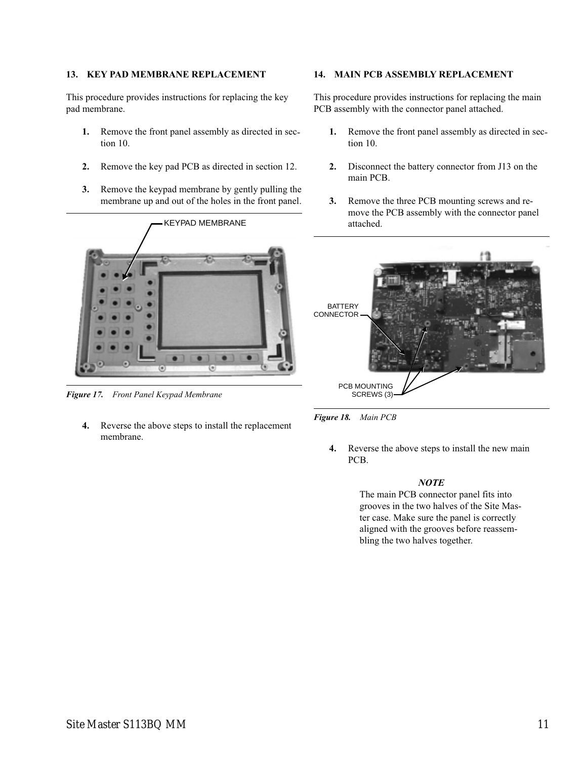# **13. KEY PAD MEMBRANE REPLACEMENT**

This procedure provides instructions for replacing the key pad membrane.

- **1.** Remove the front panel assembly as directed in section [10.](#page-8-0)
- **2.** Remove the key pad PCB as directed in section [12.](#page-9-0)
- **3.** Remove the keypad membrane by gently pulling the membrane up and out of the holes in the front panel.



*Figure 17. Front Panel Keypad Membrane*

**4.** Reverse the above steps to install the replacement membrane.

# **14. MAIN PCB ASSEMBLY REPLACEMENT**

This procedure provides instructions for replacing the main PCB assembly with the connector panel attached.

- **1.** Remove the front panel assembly as directed in section [10.](#page-8-0)
- **2.** Disconnect the battery connector from J13 on the main PCB.
- **3.** Remove the three PCB mounting screws and remove the PCB assembly with the connector panel attached.



*Figure 18. Main PCB*

**4.** Reverse the above steps to install the new main PCB.

### *NOTE*

The main PCB connector panel fits into grooves in the two halves of the Site Master case. Make sure the panel is correctly aligned with the grooves before reassembling the two halves together.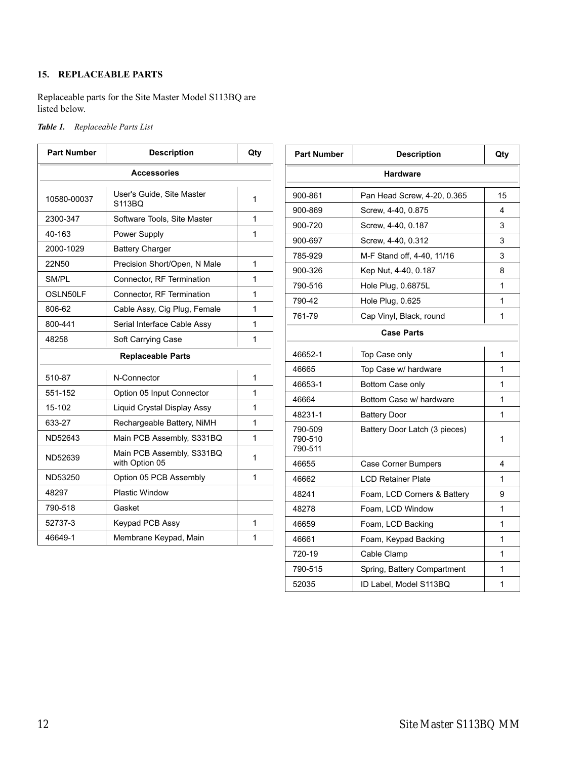# **15. REPLACEABLE PARTS**

Replaceable parts for the Site Master Model S113BQ are listed below.

|  | Table 1. | Replaceable Parts List |  |  |
|--|----------|------------------------|--|--|
|--|----------|------------------------|--|--|

| <b>Part Number</b> | <b>Description</b>                          | Qty | Part         |
|--------------------|---------------------------------------------|-----|--------------|
|                    | <b>Accessories</b>                          |     |              |
| 10580-00037        | User's Guide, Site Master<br>S113BQ         | 1   | $900 -$      |
| 2300-347           | Software Tools, Site Master                 | 1   | $900 -$      |
| 40-163             | Power Supply                                | 1   | $900 -$      |
| 2000-1029          | <b>Battery Charger</b>                      |     | $900 -$      |
| 22N50              | Precision Short/Open, N Male                | 1   | 785-         |
| SM/PL              | Connector, RF Termination                   | 1   | $900 -$      |
| OSLN50LF           | Connector, RF Termination                   | 1   | 790-         |
| 806-62             | Cable Assy, Cig Plug, Female                | 1   | 790-         |
| 800-441            | Serial Interface Cable Assy                 | 1   | 761-         |
| 48258              | Soft Carrying Case                          | 1   |              |
|                    | <b>Replaceable Parts</b>                    |     | 4665         |
| 510-87             | N-Connector                                 | 1   | 4666         |
| 551-152            | Option 05 Input Connector                   | 1   | 4665         |
| 15-102             | Liquid Crystal Display Assy                 | 1   | 4666         |
| 633-27             | Rechargeable Battery, NiMH                  | 1   | 4823         |
| ND52643            | Main PCB Assembly, S331BQ                   | 1   | 790-<br>790- |
| ND52639            | Main PCB Assembly, S331BQ<br>with Option 05 | 1   | 790-         |
| ND53250            | Option 05 PCB Assembly                      | 1   | 4665         |
| 48297              | <b>Plastic Window</b>                       |     | 4666         |
| 790-518            | Gasket                                      |     | 4824         |
|                    |                                             |     | 4827         |
| 52737-3            | Keypad PCB Assy                             | 1   | 4665         |
| 46649-1            | Membrane Keypad, Main                       | 1   | 4666         |

| <b>Part Number</b>            | <b>Description</b>            | Qty |  |  |
|-------------------------------|-------------------------------|-----|--|--|
| Hardware                      |                               |     |  |  |
| 900-861                       | Pan Head Screw, 4-20, 0.365   | 15  |  |  |
| 900-869                       | Screw, 4-40, 0.875            | 4   |  |  |
| 900-720                       | Screw, 4-40, 0.187            | 3   |  |  |
| 900-697                       | Screw, 4-40, 0.312            | 3   |  |  |
| 785-929                       | M-F Stand off, 4-40, 11/16    | 3   |  |  |
| 900-326                       | Kep Nut, 4-40, 0.187          | 8   |  |  |
| 790-516                       | Hole Plug, 0.6875L            | 1   |  |  |
| 790-42                        | Hole Plug, 0.625              | 1   |  |  |
| 761-79                        | Cap Vinyl, Black, round       | 1   |  |  |
|                               | <b>Case Parts</b>             |     |  |  |
| 46652-1                       | Top Case only                 | 1   |  |  |
| 46665                         | Top Case w/ hardware          | 1   |  |  |
| 46653-1                       | Bottom Case only              | 1   |  |  |
| 46664                         | Bottom Case w/ hardware       | 1   |  |  |
| 48231-1                       | <b>Battery Door</b>           | 1   |  |  |
| 790-509<br>790-510<br>790-511 | Battery Door Latch (3 pieces) |     |  |  |
| 46655                         | Case Corner Bumpers           | 4   |  |  |
| 46662                         | <b>LCD Retainer Plate</b>     | 1   |  |  |
| 48241                         | Foam, LCD Corners & Battery   | 9   |  |  |
| 48278                         | Foam, LCD Window              | 1   |  |  |
| 46659                         | Foam, LCD Backing             | 1   |  |  |
| 46661                         | Foam, Keypad Backing          | 1   |  |  |
| 720-19                        | Cable Clamp                   | 1   |  |  |
| 790-515                       | Spring, Battery Compartment   | 1   |  |  |
| 52035                         | ID Label. Model S113BQ        | 1   |  |  |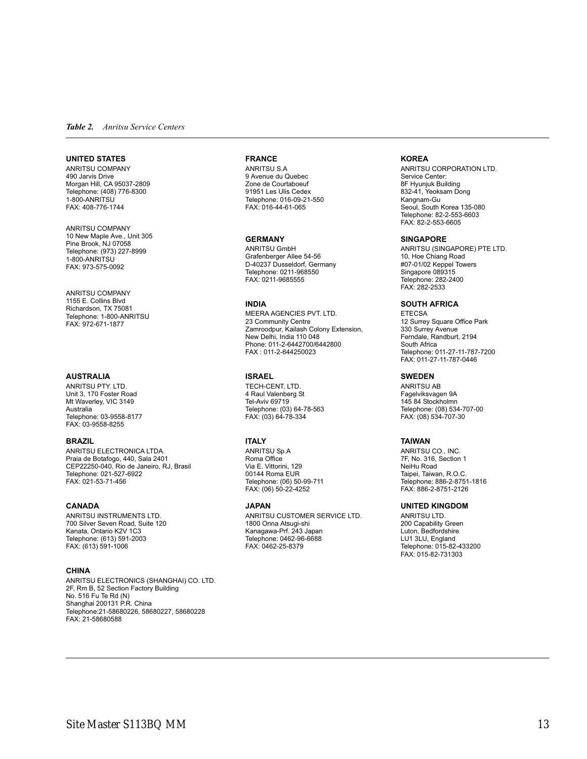### *Table 2. Anritsu Service Centers*

### **UNITED STATES**

ANRITSU COMPANY 490 Jarvis Drive Morgan Hill, CA 95037-2809 Telephone: (408) 776-8300 1-800-ANRITSU FAX: 408-776-1744

ANRITSU COMPANY 10 New Maple Ave., Unit 305 Pine Brook, NJ 07058 Telephone: (973) 227-8999 1-800-ANRITSU FAX: 973-575-0092

ANRITSU COMPANY 1155 E. Collins Blvd Richardson, TX 75081 Telephone: 1-800-ANRITSU FAX: 972-671-1877

### **AUSTRALIA**

ANRITSU PTY. LTD. Unit 3, 170 Foster Road Mt Waverley, VIC 3149 Australia Telephone: 03-9558-8177 FAX: 03-9558-8255

### **BRAZIL**

ANRITSU ELECTRONICA LTDA. Praia de Botafogo, 440, Sala 2401 CEP22250-040, Rio de Janeiro, RJ, Brasil Telephone: 021-527-6922 FAX: 021-53-71-456

### **CANADA**

ANRITSU INSTRUMENTS LTD. 700 Silver Seven Road, Suite 120 Kanata, Ontario K2V 1C3 Telephone: (613) 591-2003 FAX: (613) 591-1006

### **CHINA**

ANRITSU ELECTRONICS (SHANGHAI) CO. LTD. 2F, Rm B, 52 Section Factory Building No. 516 Fu Te Rd (N) Shanghai 200131 P.R. China Telephone:21-58680226, 58680227, 58680228 FAX: 21-58680588

### **FRANCE**

ANRITSU S.A 9 Avenue du Quebec Zone de Courtaboeuf 91951 Les Ulis Cedex Telephone: 016-09-21-550 FAX: 016-44-61-065

### **GERMANY**

ANRITSU GmbH Grafenberger Allee 54-56 D-40237 Dusseldorf, Germany Telephone: 0211-968550 FAX: 0211-9685555

### **INDIA**

MEERA AGENCIES PVT. LTD. 23 Community Centre Zamroodpur, Kailash Colony Extension, New Delhi, India 110 048 Phone: 011-2-6442700/6442800 FAX : 011-2-644250023

### **ISRAEL**

TECH-CENT, LTD. 4 Raul Valenberg St Tel-Aviv 69719 Telephone: (03) 64-78-563 FAX: (03) 64-78-334

### **ITALY**

ANRITSU Sp.A Roma Office Via E. Vittorini, 129 00144 Roma EUR Telephone: (06) 50-99-711 FAX: (06) 50-22-4252

### **JAPAN**

ANRITSU CUSTOMER SERVICE LTD. 1800 Onna Atsugi-shi Kanagawa-Prf. 243 Japan Telephone: 0462-96-6688 FAX: 0462-25-8379

### **KOREA**

ANRITSU CORPORATION LTD. Service Center: 8F Hyunjuk Building 832-41, Yeoksam Dong Kangnam-Gu Seoul, South Korea 135-080 Telephone: 82-2-553-6603 FAX: 82-2-553-6605

### **SINGAPORE**

ANRITSU (SINGAPORE) PTE LTD. 10, Hoe Chiang Road #07-01/02 Keppel Towers Singapore 089315 Telephone: 282-2400 FAX: 282-2533

### **SOUTH AFRICA**

ETECSA 12 Surrey Square Office Park 330 Surrey Avenue Ferndale, Randburt, 2194 South Africa Telephone: 011-27-11-787-7200 FAX: 011-27-11-787-0446

### **SWEDEN**

ANRITSU AB Fagelviksvagen 9A 145 84 Stockholmn Telephone: (08) 534-707-00 FAX: (08) 534-707-30

### **TAIWAN**

ANRITSU CO., INC. 7F, No. 316, Section 1 NeiHu Road Taipei, Taiwan, R.O.C. Telephone: 886-2-8751-1816 FAX: 886-2-8751-2126

### **UNITED KINGDOM**

ANRITSU LTD. 200 Capability Green Luton, Bedfordshire LU1 3LU, England Telephone: 015-82-433200 FAX: 015-82-731303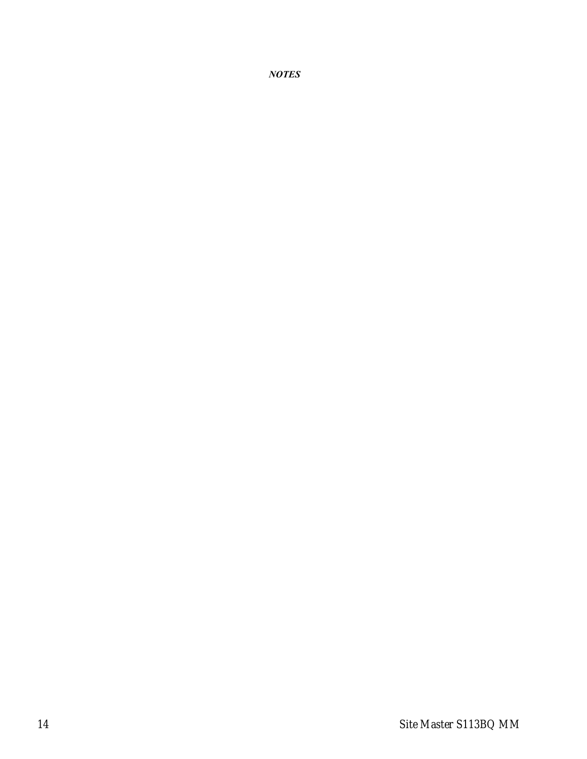*NOTES*